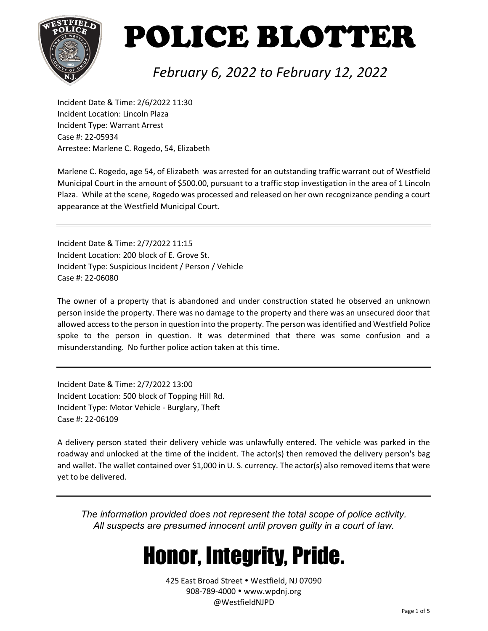

#### *February 6, 2022 to February 12, 2022*

Incident Date & Time: 2/6/2022 11:30 Incident Location: Lincoln Plaza Incident Type: Warrant Arrest Case #: 22-05934 Arrestee: Marlene C. Rogedo, 54, Elizabeth

Marlene C. Rogedo, age 54, of Elizabeth was arrested for an outstanding traffic warrant out of Westfield Municipal Court in the amount of \$500.00, pursuant to a traffic stop investigation in the area of 1 Lincoln Plaza. While at the scene, Rogedo was processed and released on her own recognizance pending a court appearance at the Westfield Municipal Court.

Incident Date & Time: 2/7/2022 11:15 Incident Location: 200 block of E. Grove St. Incident Type: Suspicious Incident / Person / Vehicle Case #: 22-06080

The owner of a property that is abandoned and under construction stated he observed an unknown person inside the property. There was no damage to the property and there was an unsecured door that allowed access to the person in question into the property. The person was identified and Westfield Police spoke to the person in question. It was determined that there was some confusion and a misunderstanding. No further police action taken at this time.

Incident Date & Time: 2/7/2022 13:00 Incident Location: 500 block of Topping Hill Rd. Incident Type: Motor Vehicle - Burglary, Theft Case #: 22-06109

A delivery person stated their delivery vehicle was unlawfully entered. The vehicle was parked in the roadway and unlocked at the time of the incident. The actor(s) then removed the delivery person's bag and wallet. The wallet contained over \$1,000 in U. S. currency. The actor(s) also removed items that were yet to be delivered.

*The information provided does not represent the total scope of police activity. All suspects are presumed innocent until proven guilty in a court of law.*

### Honor, Integrity, Pride.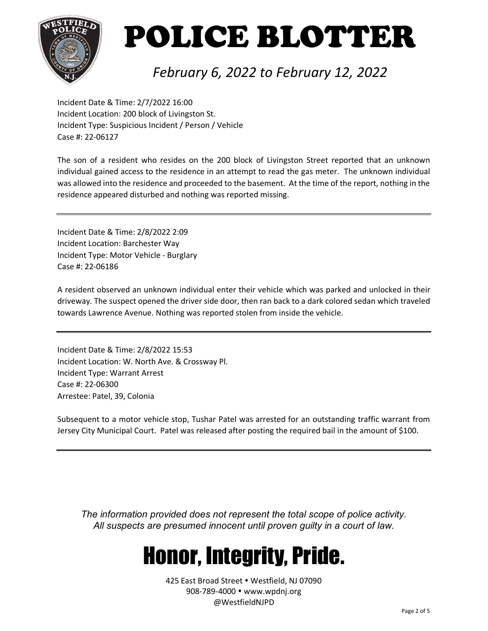

#### *February 6, 2022 to February 12, 2022*

Incident Date & Time: 2/7/2022 16:00 Incident Location: 200 block of Livingston St. Incident Type: Suspicious Incident / Person / Vehicle Case #: 22-06127

The son of a resident who resides on the 200 block of Livingston Street reported that an unknown individual gained access to the residence in an attempt to read the gas meter. The unknown individual was allowed into the residence and proceeded to the basement. At the time of the report, nothing in the residence appeared disturbed and nothing was reported missing.

Incident Date & Time: 2/8/2022 2:09 Incident Location: Barchester Way Incident Type: Motor Vehicle - Burglary Case #: 22-06186

A resident observed an unknown individual enter their vehicle which was parked and unlocked in their driveway. The suspect opened the driver side door, then ran back to a dark colored sedan which traveled towards Lawrence Avenue. Nothing was reported stolen from inside the vehicle.

Incident Date & Time: 2/8/2022 15:53 Incident Location: W. North Ave. & Crossway Pl. Incident Type: Warrant Arrest Case #: 22-06300 Arrestee: Patel, 39, Colonia

Subsequent to a motor vehicle stop, Tushar Patel was arrested for an outstanding traffic warrant from Jersey City Municipal Court. Patel was released after posting the required bail in the amount of \$100.

*The information provided does not represent the total scope of police activity. All suspects are presumed innocent until proven guilty in a court of law.*

### Honor, Integrity, Pride.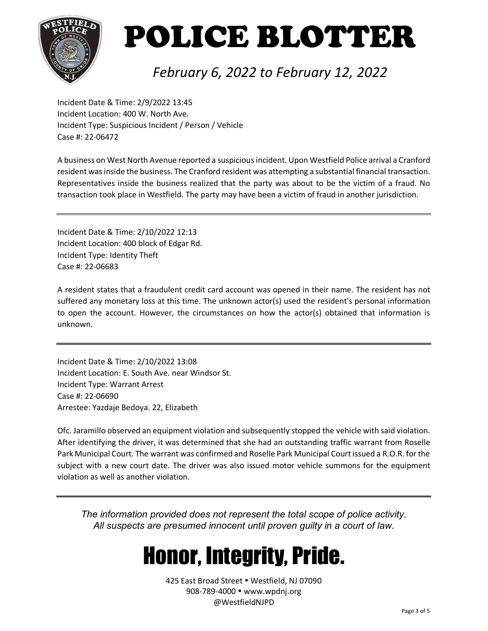

#### *February 6, 2022 to February 12, 2022*

Incident Date & Time: 2/9/2022 13:45 Incident Location: 400 W. North Ave. Incident Type: Suspicious Incident / Person / Vehicle Case #: 22-06472

A business on West North Avenue reported a suspicious incident. Upon Westfield Police arrival a Cranford resident was inside the business. The Cranford resident was attempting a substantial financial transaction. Representatives inside the business realized that the party was about to be the victim of a fraud. No transaction took place in Westfield. The party may have been a victim of fraud in another jurisdiction.

Incident Date & Time: 2/10/2022 12:13 Incident Location: 400 block of Edgar Rd. Incident Type: Identity Theft Case #: 22-06683

A resident states that a fraudulent credit card account was opened in their name. The resident has not suffered any monetary loss at this time. The unknown actor(s) used the resident's personal information to open the account. However, the circumstances on how the actor(s) obtained that information is unknown.

Incident Date & Time: 2/10/2022 13:08 Incident Location: E. South Ave. near Windsor St. Incident Type: Warrant Arrest Case #: 22-06690 Arrestee: Yazdaje Bedoya. 22, Elizabeth

Ofc. Jaramillo observed an equipment violation and subsequently stopped the vehicle with said violation. After identifying the driver, it was determined that she had an outstanding traffic warrant from Roselle Park Municipal Court. The warrant was confirmed and Roselle Park Municipal Court issued a R.O.R. for the subject with a new court date. The driver was also issued motor vehicle summons for the equipment violation as well as another violation.

*The information provided does not represent the total scope of police activity. All suspects are presumed innocent until proven guilty in a court of law.*

### Honor, Integrity, Pride.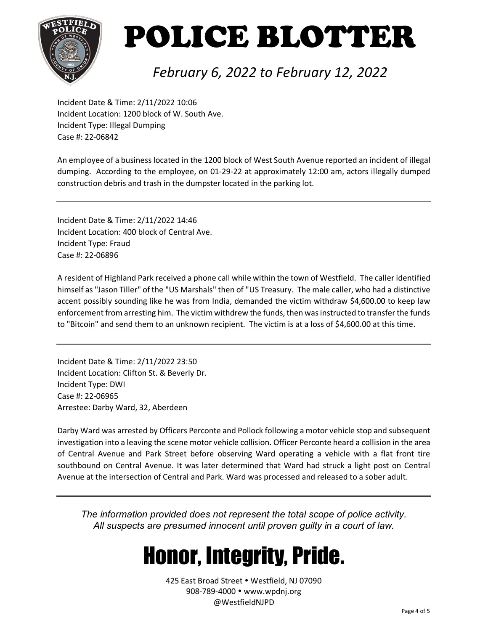

#### *February 6, 2022 to February 12, 2022*

Incident Date & Time: 2/11/2022 10:06 Incident Location: 1200 block of W. South Ave. Incident Type: Illegal Dumping Case #: 22-06842

An employee of a business located in the 1200 block of West South Avenue reported an incident of illegal dumping. According to the employee, on 01-29-22 at approximately 12:00 am, actors illegally dumped construction debris and trash in the dumpster located in the parking lot.

Incident Date & Time: 2/11/2022 14:46 Incident Location: 400 block of Central Ave. Incident Type: Fraud Case #: 22-06896

A resident of Highland Park received a phone call while within the town of Westfield. The caller identified himself as "Jason Tiller" of the "US Marshals" then of "US Treasury. The male caller, who had a distinctive accent possibly sounding like he was from India, demanded the victim withdraw \$4,600.00 to keep law enforcement from arresting him. The victim withdrew the funds, then was instructed to transfer the funds to "Bitcoin" and send them to an unknown recipient. The victim is at a loss of \$4,600.00 at this time.

Incident Date & Time: 2/11/2022 23:50 Incident Location: Clifton St. & Beverly Dr. Incident Type: DWI Case #: 22-06965 Arrestee: Darby Ward, 32, Aberdeen

Darby Ward was arrested by Officers Perconte and Pollock following a motor vehicle stop and subsequent investigation into a leaving the scene motor vehicle collision. Officer Perconte heard a collision in the area of Central Avenue and Park Street before observing Ward operating a vehicle with a flat front tire southbound on Central Avenue. It was later determined that Ward had struck a light post on Central Avenue at the intersection of Central and Park. Ward was processed and released to a sober adult.

*The information provided does not represent the total scope of police activity. All suspects are presumed innocent until proven guilty in a court of law.*